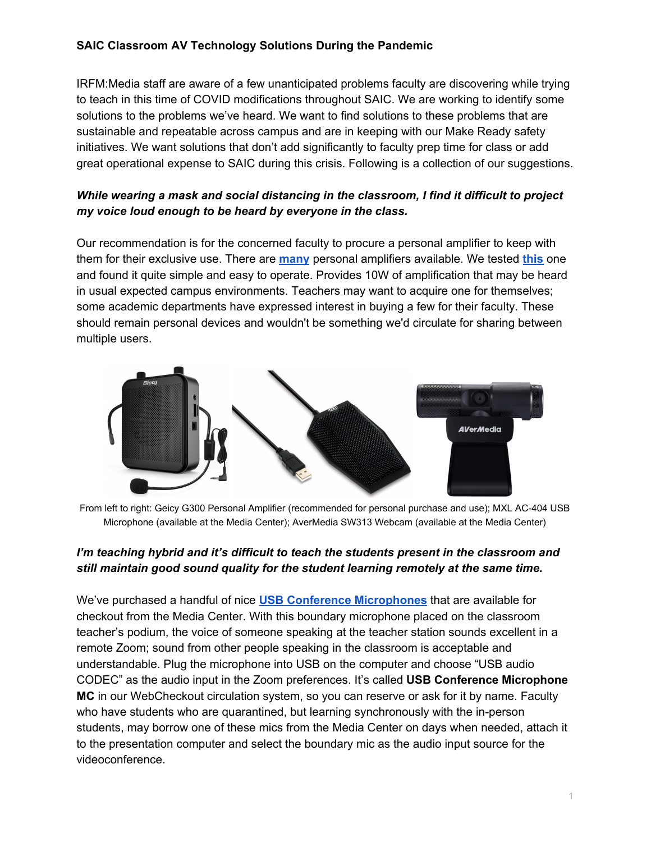## **SAIC Classroom AV Technology Solutions During the Pandemic**

IRFM:Media staff are aware of a few unanticipated problems faculty are discovering while trying to teach in this time of COVID modifications throughout SAIC. We are working to identify some solutions to the problems we've heard. We want to find solutions to these problems that are sustainable and repeatable across campus and are in keeping with our Make Ready safety initiatives. We want solutions that don't add significantly to faculty prep time for class or add great operational expense to SAIC during this crisis. Following is a collection of our suggestions.

# *While wearing a mask and social distancing in the classroom, I find it difficult to project my voice loud enough to be heard by everyone in the class.*

Our recommendation is for the concerned faculty to procure a personal amplifier to keep with them for their exclusive use. There are **[many](https://www.amazon.com/s?k=personal+amplification+for+teachers&i=mi&crid=7RZ8HR91Q4VD&sprefix=personal+amp%2Cmi%2C156&ref=nb_sb_ss_i_3_12)** personal amplifiers available. We tested **[this](https://youtu.be/ATfPXcPNXjo)** one and found it quite simple and easy to operate. Provides 10W of amplification that may be heard in usual expected campus environments. Teachers may want to acquire one for themselves; some academic departments have expressed interest in buying a few for their faculty. These should remain personal devices and wouldn't be something we'd circulate for sharing between multiple users.



From left to right: Geicy G300 Personal Amplifier (recommended for personal purchase and use); MXL AC-404 USB Microphone (available at the Media Center); AverMedia SW313 Webcam (available at the Media Center)

## *I'm teaching hybrid and it's difficult to teach the students present in the classroom and still maintain good sound quality for the student learning remotely at the same time.*

We've purchased a handful of nice **USB Conference [Microphones](http://www.mxlmics.com/microphones/web-conferencing/AC-404/)** that are available for checkout from the Media Center. With this boundary microphone placed on the classroom teacher's podium, the voice of someone speaking at the teacher station sounds excellent in a remote Zoom; sound from other people speaking in the classroom is acceptable and understandable. Plug the microphone into USB on the computer and choose "USB audio CODEC" as the audio input in the Zoom preferences. It's called **USB Conference Microphone MC** in our WebCheckout circulation system, so you can reserve or ask for it by name. Faculty who have students who are quarantined, but learning synchronously with the in-person students, may borrow one of these mics from the Media Center on days when needed, attach it to the presentation computer and select the boundary mic as the audio input source for the videoconference.